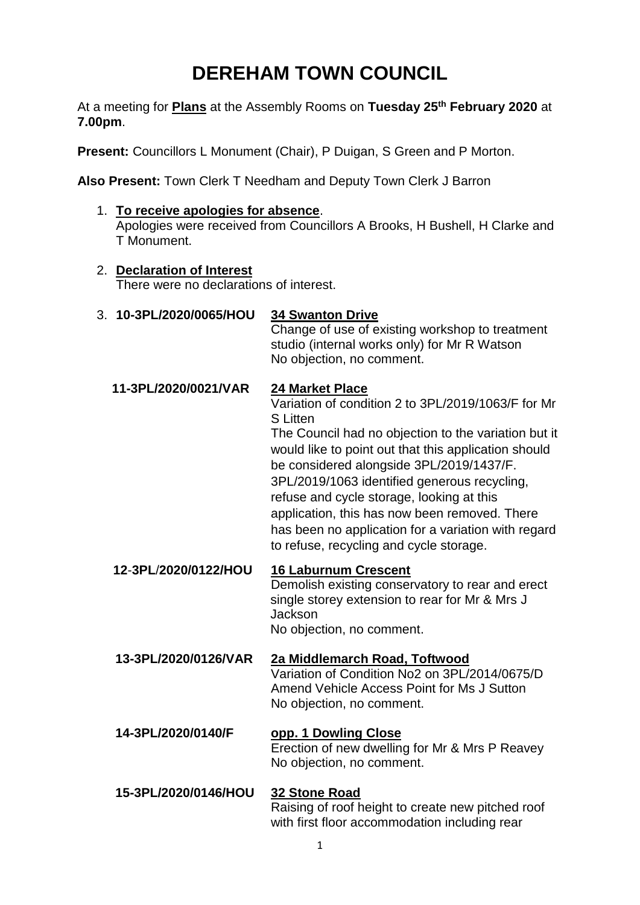# **DEREHAM TOWN COUNCIL**

At a meeting for **Plans** at the Assembly Rooms on **Tuesday 25th February 2020** at **7.00pm**.

**Present:** Councillors L Monument (Chair), P Duigan, S Green and P Morton.

**Also Present:** Town Clerk T Needham and Deputy Town Clerk J Barron

1. **To receive apologies for absence**.

Apologies were received from Councillors A Brooks, H Bushell, H Clarke and T Monument.

2. **Declaration of Interest**

There were no declarations of interest.

3. **10-3PL/2020/0065/HOU 34 Swanton Drive**

Change of use of existing workshop to treatment studio (internal works only) for Mr R Watson No objection, no comment.

**11-3PL/2020/0021/VAR 24 Market Place**

Variation of condition 2 to 3PL/2019/1063/F for Mr S Litten

The Council had no objection to the variation but it would like to point out that this application should be considered alongside 3PL/2019/1437/F. 3PL/2019/1063 identified generous recycling, refuse and cycle storage, looking at this application, this has now been removed. There has been no application for a variation with regard to refuse, recycling and cycle storage.

 **12**-**3PL**/**2020/0122/HOU 16 Laburnum Crescent** Demolish existing conservatory to rear and erect single storey extension to rear for Mr & Mrs J Jackson No objection, no comment.

**13-3PL/2020/0126/VAR 2a Middlemarch Road, Toftwood** Variation of Condition No2 on 3PL/2014/0675/D Amend Vehicle Access Point for Ms J Sutton No objection, no comment.

- **14-3PL/2020/0140/F opp. 1 Dowling Close** Erection of new dwelling for Mr & Mrs P Reavey No objection, no comment.
- **15-3PL/2020/0146/HOU 32 Stone Road** Raising of roof height to create new pitched roof with first floor accommodation including rear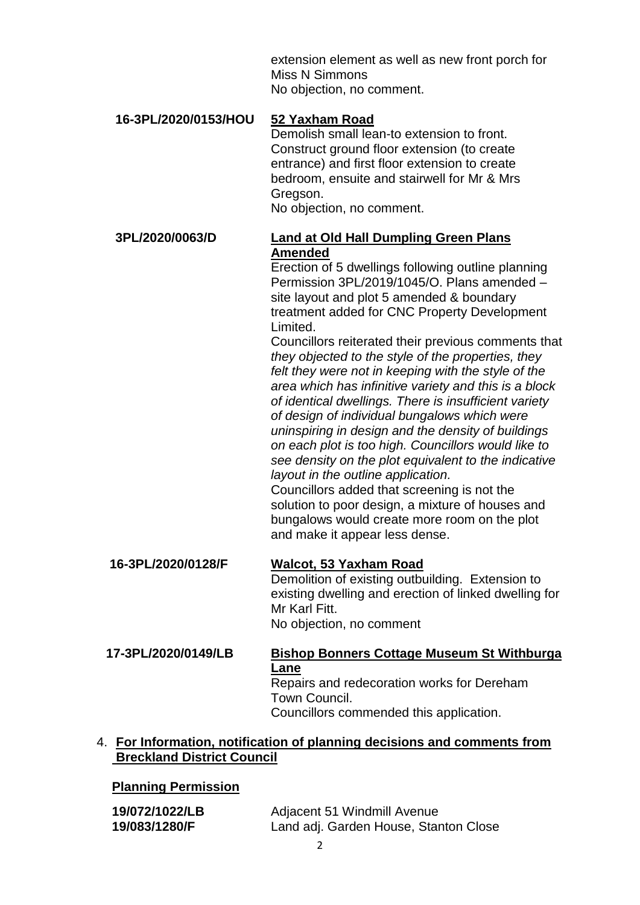extension element as well as new front porch for Miss N Simmons No objection, no comment.

#### **16-3PL/2020/0153/HOU 52 Yaxham Road**

Demolish small lean-to extension to front. Construct ground floor extension (to create entrance) and first floor extension to create bedroom, ensuite and stairwell for Mr & Mrs Gregson.

No objection, no comment.

#### **3PL/2020/0063/D Land at Old Hall Dumpling Green Plans Amended**

Erection of 5 dwellings following outline planning Permission 3PL/2019/1045/O. Plans amended – site layout and plot 5 amended & boundary treatment added for CNC Property Development Limited.

Councillors reiterated their previous comments that *they objected to the style of the properties, they felt they were not in keeping with the style of the area which has infinitive variety and this is a block of identical dwellings. There is insufficient variety of design of individual bungalows which were uninspiring in design and the density of buildings on each plot is too high. Councillors would like to see density on the plot equivalent to the indicative layout in the outline application.*

Councillors added that screening is not the solution to poor design, a mixture of houses and bungalows would create more room on the plot and make it appear less dense.

#### **16-3PL/2020/0128/F Walcot, 53 Yaxham Road** Demolition of existing outbuilding. Extension to existing dwelling and erection of linked dwelling for

Mr Karl Fitt. No objection, no comment

## **17-3PL/2020/0149/LB Bishop Bonners Cottage Museum St Withburga Lane**

Repairs and redecoration works for Dereham Town Council. Councillors commended this application.

#### 4. **For Information, notification of planning decisions and comments from Breckland District Council**

### **Planning Permission**

| 19/072/1022/LB | Adjacent 51 Windmill Avenue           |
|----------------|---------------------------------------|
| 19/083/1280/F  | Land adj. Garden House, Stanton Close |